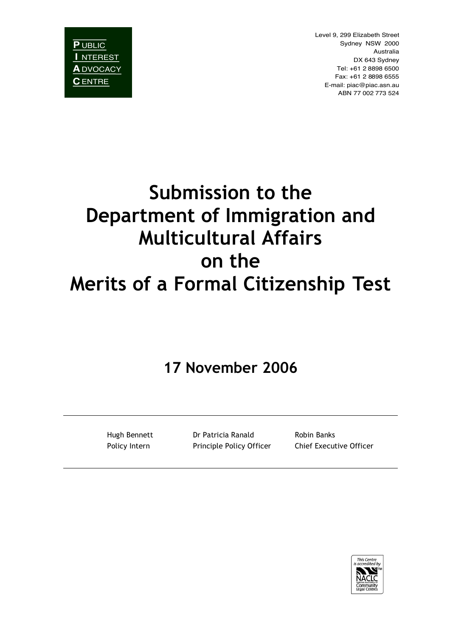**P** UBLIC **I** NTEREST **A**DVOCACY **C**ENTRE

Level 9, 299 Elizabeth Street Sydney NSW 2000 Australia DX 643 Sydney Tel: +61 2 8898 6500 Fax: +61 2 8898 6555 E-mail: piac@piac.asn.au ABN 77 002 773 524

# **Submission to the Department of Immigration and Multicultural Affairs on the Merits of a Formal Citizenship Test**

## **17 November 2006**

Hugh Bennett Dr Patricia Ranald Robin Banks Policy Intern **Principle Policy Officer** Chief Executive Officer

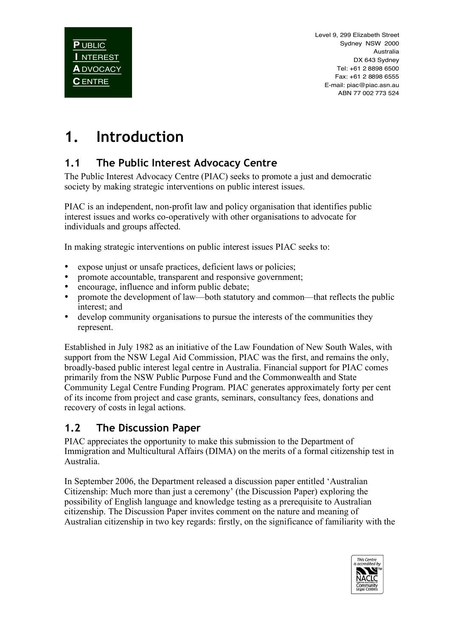## **1. Introduction**

### **1.1 The Public Interest Advocacy Centre**

The Public Interest Advocacy Centre (PIAC) seeks to promote a just and democratic society by making strategic interventions on public interest issues.

PIAC is an independent, non-profit law and policy organisation that identifies public interest issues and works co-operatively with other organisations to advocate for individuals and groups affected.

In making strategic interventions on public interest issues PIAC seeks to:

- expose unjust or unsafe practices, deficient laws or policies;
- promote accountable, transparent and responsive government;<br>• encourage influence and inform public debate:
- encourage, influence and inform public debate;
- promote the development of law—both statutory and common—that reflects the public interest; and
- develop community organisations to pursue the interests of the communities they represent.

Established in July 1982 as an initiative of the Law Foundation of New South Wales, with support from the NSW Legal Aid Commission, PIAC was the first, and remains the only, broadly-based public interest legal centre in Australia. Financial support for PIAC comes primarily from the NSW Public Purpose Fund and the Commonwealth and State Community Legal Centre Funding Program. PIAC generates approximately forty per cent of its income from project and case grants, seminars, consultancy fees, donations and recovery of costs in legal actions.

#### **1.2 The Discussion Paper**

PIAC appreciates the opportunity to make this submission to the Department of Immigration and Multicultural Affairs (DIMA) on the merits of a formal citizenship test in Australia.

In September 2006, the Department released a discussion paper entitled 'Australian Citizenship: Much more than just a ceremony' (the Discussion Paper) exploring the possibility of English language and knowledge testing as a prerequisite to Australian citizenship. The Discussion Paper invites comment on the nature and meaning of Australian citizenship in two key regards: firstly, on the significance of familiarity with the

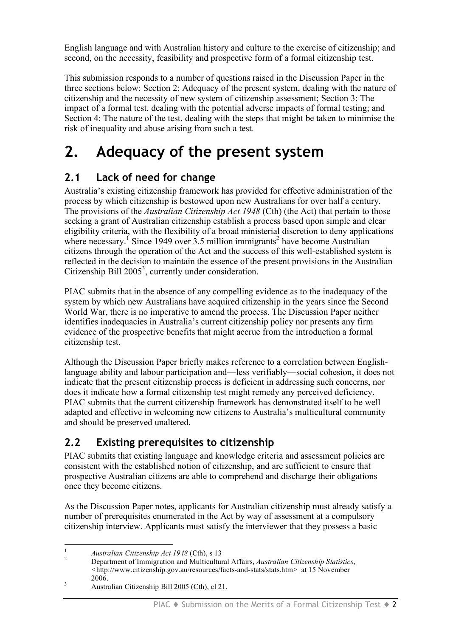English language and with Australian history and culture to the exercise of citizenship; and second, on the necessity, feasibility and prospective form of a formal citizenship test.

This submission responds to a number of questions raised in the Discussion Paper in the three sections below: Section 2: Adequacy of the present system, dealing with the nature of citizenship and the necessity of new system of citizenship assessment; Section 3: The impact of a formal test, dealing with the potential adverse impacts of formal testing; and Section 4: The nature of the test, dealing with the steps that might be taken to minimise the risk of inequality and abuse arising from such a test.

## **2. Adequacy of the present system**

### **2.1 Lack of need for change**

Australia's existing citizenship framework has provided for effective administration of the process by which citizenship is bestowed upon new Australians for over half a century. The provisions of the *Australian Citizenship Act 1948* (Cth) (the Act) that pertain to those seeking a grant of Australian citizenship establish a process based upon simple and clear eligibility criteria, with the flexibility of a broad ministerial discretion to deny applications where necessary.<sup>1</sup> Since 1949 over 3.5 million immigrants<sup>2</sup> have become Australian citizens through the operation of the Act and the success of this well-established system is reflected in the decision to maintain the essence of the present provisions in the Australian Citizenship Bill  $2005<sup>3</sup>$ , currently under consideration.

PIAC submits that in the absence of any compelling evidence as to the inadequacy of the system by which new Australians have acquired citizenship in the years since the Second World War, there is no imperative to amend the process. The Discussion Paper neither identifies inadequacies in Australia's current citizenship policy nor presents any firm evidence of the prospective benefits that might accrue from the introduction a formal citizenship test.

Although the Discussion Paper briefly makes reference to a correlation between Englishlanguage ability and labour participation and—less verifiably—social cohesion, it does not indicate that the present citizenship process is deficient in addressing such concerns, nor does it indicate how a formal citizenship test might remedy any perceived deficiency. PIAC submits that the current citizenship framework has demonstrated itself to be well adapted and effective in welcoming new citizens to Australia's multicultural community and should be preserved unaltered.

## **2.2 Existing prerequisites to citizenship**

PIAC submits that existing language and knowledge criteria and assessment policies are consistent with the established notion of citizenship, and are sufficient to ensure that prospective Australian citizens are able to comprehend and discharge their obligations once they become citizens.

As the Discussion Paper notes, applicants for Australian citizenship must already satisfy a number of prerequisites enumerated in the Act by way of assessment at a compulsory citizenship interview. Applicants must satisfy the interviewer that they possess a basic

<sup>1</sup> *Australian Citizenship Act <sup>1948</sup>* (Cth), <sup>s</sup> <sup>13</sup> <sup>2</sup> Department of Immigration and Multicultural Affairs, *Australian Citizenship Statistics*, *<*http://www.citizenship.gov.au/resources/facts-and-stats/stats.htm> at 15 November

<sup>&</sup>lt;sup>3</sup>  $2006$ . Australian Citizenship Bill 2005 (Cth), cl 21.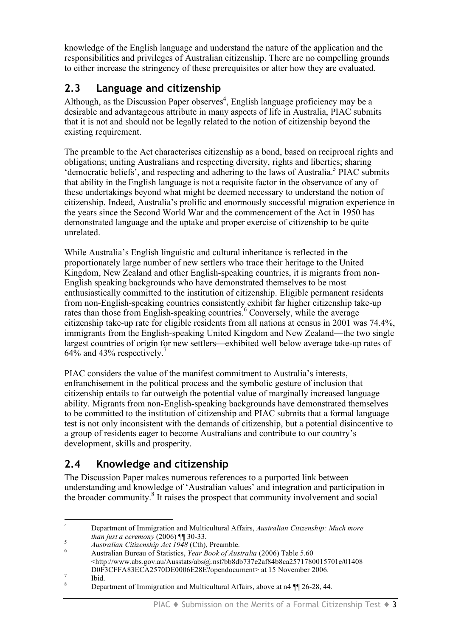knowledge of the English language and understand the nature of the application and the responsibilities and privileges of Australian citizenship. There are no compelling grounds to either increase the stringency of these prerequisites or alter how they are evaluated.

#### **2.3 Language and citizenship**

Although, as the Discussion Paper observes<sup>4</sup>, English language proficiency may be a desirable and advantageous attribute in many aspects of life in Australia, PIAC submits that it is not and should not be legally related to the notion of citizenship beyond the existing requirement.

The preamble to the Act characterises citizenship as a bond, based on reciprocal rights and obligations; uniting Australians and respecting diversity, rights and liberties; sharing 'democratic beliefs', and respecting and adhering to the laws of Australia.<sup>5</sup> PIAC submits that ability in the English language is not a requisite factor in the observance of any of these undertakings beyond what might be deemed necessary to understand the notion of citizenship. Indeed, Australia's prolific and enormously successful migration experience in the years since the Second World War and the commencement of the Act in 1950 has demonstrated language and the uptake and proper exercise of citizenship to be quite unrelated.

While Australia's English linguistic and cultural inheritance is reflected in the proportionately large number of new settlers who trace their heritage to the United Kingdom, New Zealand and other English-speaking countries, it is migrants from non-English speaking backgrounds who have demonstrated themselves to be most enthusiastically committed to the institution of citizenship. Eligible permanent residents from non-English-speaking countries consistently exhibit far higher citizenship take-up rates than those from English-speaking countries.<sup>6</sup> Conversely, while the average citizenship take-up rate for eligible residents from all nations at census in 2001 was 74.4%, immigrants from the English-speaking United Kingdom and New Zealand—the two single largest countries of origin for new settlers—exhibited well below average take-up rates of  $64\%$  and 43% respectively.<sup>7</sup>

PIAC considers the value of the manifest commitment to Australia's interests, enfranchisement in the political process and the symbolic gesture of inclusion that citizenship entails to far outweigh the potential value of marginally increased language ability. Migrants from non-English-speaking backgrounds have demonstrated themselves to be committed to the institution of citizenship and PIAC submits that a formal language test is not only inconsistent with the demands of citizenship, but a potential disincentive to a group of residents eager to become Australians and contribute to our country's development, skills and prosperity.

#### **2.4 Knowledge and citizenship**

The Discussion Paper makes numerous references to a purported link between understanding and knowledge of 'Australian values' and integration and participation in the broader community. <sup>8</sup> It raises the prospect that community involvement and social

 <sup>4</sup> Department of Immigration and Multicultural Affairs, *Australian Citizenship: Much more*

Australian Citizenship Act 1948 (Cth), Preamble.<br>Australian Bureau of Statistics, Year Book of Australia (2006) Table 5.60 <http://www.abs.gov.au/Ausstats/abs@.nsf/bb8db737e2af84b8ca2571780015701e/01408  $DOF3CFFAS3ECA2570DE0006E28E?opendocument> at 15 November 2006.$ <br>
<sup>8</sup> Department of Immigration and Multicultural Affairs, above at n4 ¶ 26-28, 44.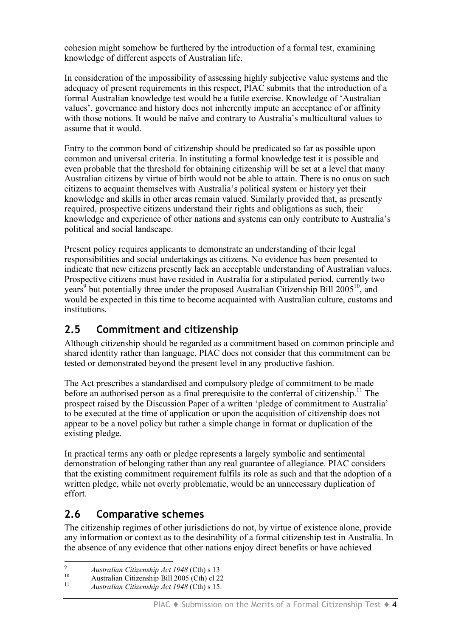cohesion might somehow be furthered by the introduction of a formal test, examining knowledge of different aspects of Australian life.

In consideration of the impossibility of assessing highly subjective value systems and the adequacy of present requirements in this respect, PIAC submits that the introduction of a formal Australian knowledge test would be a futile exercise. Knowledge of 'Australian values', governance and history does not inherently impute an acceptance of or affinity with those notions. It would be naïve and contrary to Australia's multicultural values to assume that it would.

Entry to the common bond of citizenship should be predicated so far as possible upon common and universal criteria. In instituting a formal knowledge test it is possible and even probable that the threshold for obtaining citizenship will be set at a level that many Australian citizens by virtue of birth would not be able to attain. There is no onus on such citizens to acquaint themselves with Australia's political system or history yet their knowledge and skills in other areas remain valued. Similarly provided that, as presently required, prospective citizens understand their rights and obligations as such, their knowledge and experience of other nations and systems can only contribute to Australia's political and social landscape.

Present policy requires applicants to demonstrate an understanding of their legal responsibilities and social undertakings as citizens. No evidence has been presented to indicate that new citizens presently lack an acceptable understanding of Australian values. Prospective citizens must have resided in Australia for a stipulated period, currently two years<sup>9</sup> but potentially three under the proposed Australian Citizenship Bill 2005<sup>10</sup>, and would be expected in this time to become acquainted with Australian culture, customs and institutions.

#### **2.5 Commitment and citizenship**

Although citizenship should be regarded as a commitment based on common principle and shared identity rather than language, PIAC does not consider that this commitment can be tested or demonstrated beyond the present level in any productive fashion.

The Act prescribes a standardised and compulsory pledge of commitment to be made before an authorised person as a final prerequisite to the conferral of citizenship.<sup>11</sup> The prospect raised by the Discussion Paper of a written 'pledge of commitment to Australia' to be executed at the time of application or upon the acquisition of citizenship does not appear to be a novel policy but rather a simple change in format or duplication of the existing pledge.

In practical terms any oath or pledge represents a largely symbolic and sentimental demonstration of belonging rather than any real guarantee of allegiance. PIAC considers that the existing commitment requirement fulfils its role as such and that the adoption of a written pledge, while not overly problematic, would be an unnecessary duplication of effort.

#### **2.6 Comparative schemes**

The citizenship regimes of other jurisdictions do not, by virtue of existence alone, provide any information or context as to the desirability of a formal citizenship test in Australia. In the absence of any evidence that other nations enjoy direct benefits or have achieved

<sup>9</sup> *Australian Citizenship Act <sup>1948</sup>* (Cth) <sup>s</sup> <sup>13</sup> <sup>10</sup> Australian Citizenship Bill <sup>2005</sup> (Cth) cl <sup>22</sup> <sup>11</sup> *Australian Citizenship Act <sup>1948</sup>* (Cth) <sup>s</sup> 15.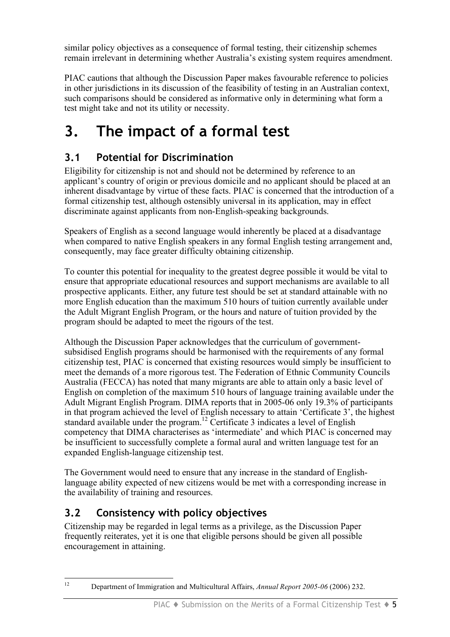similar policy objectives as a consequence of formal testing, their citizenship schemes remain irrelevant in determining whether Australia's existing system requires amendment.

PIAC cautions that although the Discussion Paper makes favourable reference to policies in other jurisdictions in its discussion of the feasibility of testing in an Australian context, such comparisons should be considered as informative only in determining what form a test might take and not its utility or necessity.

## **3. The impact of a formal test**

### **3.1 Potential for Discrimination**

Eligibility for citizenship is not and should not be determined by reference to an applicant's country of origin or previous domicile and no applicant should be placed at an inherent disadvantage by virtue of these facts. PIAC is concerned that the introduction of a formal citizenship test, although ostensibly universal in its application, may in effect discriminate against applicants from non-English-speaking backgrounds.

Speakers of English as a second language would inherently be placed at a disadvantage when compared to native English speakers in any formal English testing arrangement and, consequently, may face greater difficulty obtaining citizenship.

To counter this potential for inequality to the greatest degree possible it would be vital to ensure that appropriate educational resources and support mechanisms are available to all prospective applicants. Either, any future test should be set at standard attainable with no more English education than the maximum 510 hours of tuition currently available under the Adult Migrant English Program, or the hours and nature of tuition provided by the program should be adapted to meet the rigours of the test.

Although the Discussion Paper acknowledges that the curriculum of governmentsubsidised English programs should be harmonised with the requirements of any formal citizenship test, PIAC is concerned that existing resources would simply be insufficient to meet the demands of a more rigorous test. The Federation of Ethnic Community Councils Australia (FECCA) has noted that many migrants are able to attain only a basic level of English on completion of the maximum 510 hours of language training available under the Adult Migrant English Program. DIMA reports that in 2005-06 only 19.3% of participants in that program achieved the level of English necessary to attain 'Certificate 3', the highest standard available under the program.<sup>12</sup> Certificate 3 indicates a level of English competency that DIMA characterises as 'intermediate' and which PIAC is concerned may be insufficient to successfully complete a formal aural and written language test for an expanded English-language citizenship test.

The Government would need to ensure that any increase in the standard of Englishlanguage ability expected of new citizens would be met with a corresponding increase in the availability of training and resources.

### **3.2 Consistency with policy objectives**

Citizenship may be regarded in legal terms as a privilege, as the Discussion Paper frequently reiterates, yet it is one that eligible persons should be given all possible encouragement in attaining.

 <sup>12</sup> Department of Immigration and Multicultural Affairs, *Annual Report 2005-06* (2006) 232.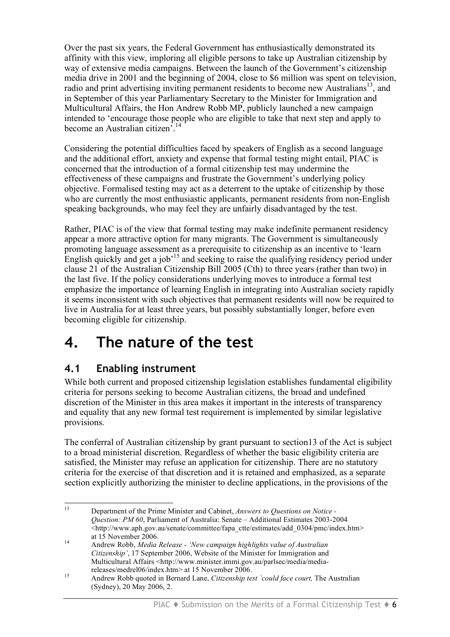Over the past six years, the Federal Government has enthusiastically demonstrated its affinity with this view, imploring all eligible persons to take up Australian citizenship by way of extensive media campaigns. Between the launch of the Government's citizenship media drive in 2001 and the beginning of 2004, close to \$6 million was spent on television, radio and print advertising inviting permanent residents to become new Australians<sup>13</sup>, and in September of this year Parliamentary Secretary to the Minister for Immigration and Multicultural Affairs, the Hon Andrew Robb MP, publicly launched a new campaign intended to 'encourage those people who are eligible to take that next step and apply to become an Australian citizen'. 14

Considering the potential difficulties faced by speakers of English as a second language and the additional effort, anxiety and expense that formal testing might entail, PIAC is concerned that the introduction of a formal citizenship test may undermine the effectiveness of these campaigns and frustrate the Government's underlying policy objective. Formalised testing may act as a deterrent to the uptake of citizenship by those who are currently the most enthusiastic applicants, permanent residents from non-English speaking backgrounds, who may feel they are unfairly disadvantaged by the test.

Rather, PIAC is of the view that formal testing may make indefinite permanent residency appear a more attractive option for many migrants. The Government is simultaneously promoting language assessment as a prerequisite to citizenship as an incentive to 'learn English quickly and get a job' <sup>15</sup> and seeking to raise the qualifying residency period under clause 21 of the Australian Citizenship Bill 2005 (Cth) to three years (rather than two) in the last five. If the policy considerations underlying moves to introduce a formal test emphasize the importance of learning English in integrating into Australian society rapidly it seems inconsistent with such objectives that permanent residents will now be required to live in Australia for at least three years, but possibly substantially longer, before even becoming eligible for citizenship.

## **4. The nature of the test**

### **4.1 Enabling instrument**

While both current and proposed citizenship legislation establishes fundamental eligibility criteria for persons seeking to become Australian citizens, the broad and undefined discretion of the Minister in this area makes it important in the interests of transparency and equality that any new formal test requirement is implemented by similar legislative provisions.

The conferral of Australian citizenship by grant pursuant to section13 of the Act is subject to a broad ministerial discretion. Regardless of whether the basic eligibility criteria are satisfied, the Minister may refuse an application for citizenship. There are no statutory criteria for the exercise of that discretion and it is retained and emphasized, as a separate section explicitly authorizing the minister to decline applications, in the provisions of the

 <sup>13</sup> Department of the Prime Minister and Cabinet, *Answers to Questions on Notice - Question: PM 60*, Parliament of Australia: Senate – Additional Estimates 2003-2004  $\leq$ http://www.aph.gov.au/senate/committee/fapa\_ctte/estimates/add\_0304/pmc/index.htm> at <sup>15</sup> November 2006. <sup>14</sup> Andrew Robb, *Media Release - 'New campaign highlights value of Australian*

*Citizenship'*, 17 September 2006, Website of the Minister for Immigration and Multicultural Affairs <http://www.minister.immi.gov.au/parlsec/media/media-

releases/medrel06/index.htm> at 15 November 2006.<br><sup>15</sup> Andrew Robb quoted in Bernard Lane, *Citizenship test `could face court*, The Australian (Sydney), 20 May 2006, 2.